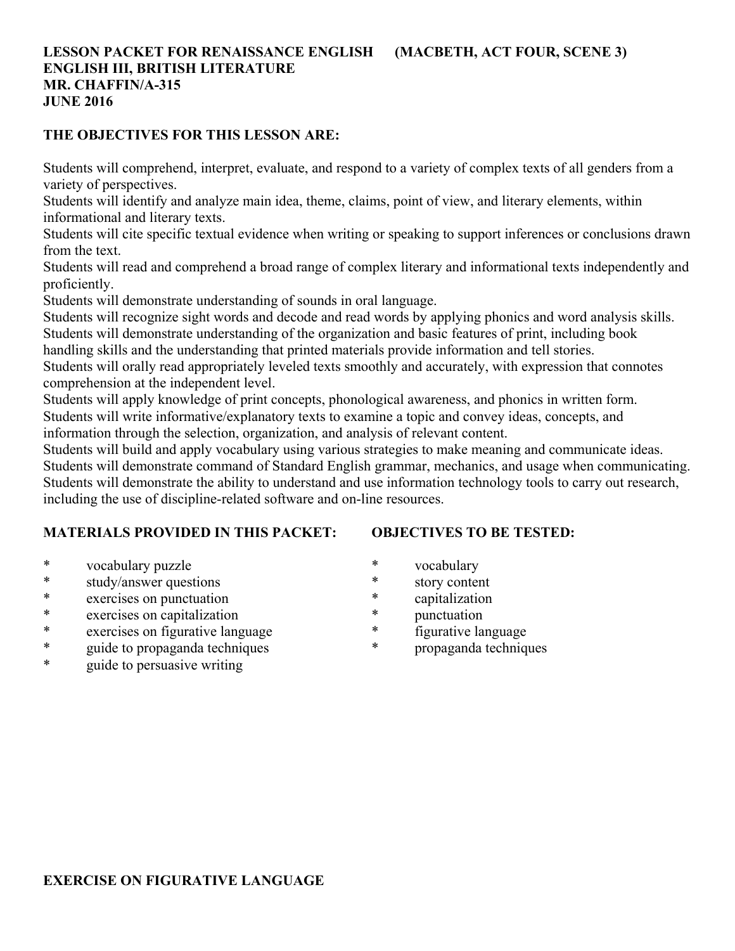# **LESSON PACKET FOR RENAISSANCE ENGLISH (MACBETH, ACT FOUR, SCENE 3) ENGLISH III, BRITISH LITERATURE MR. CHAFFIN/A-315 JUNE 2016**

## **THE OBJECTIVES FOR THIS LESSON ARE:**

Students will comprehend, interpret, evaluate, and respond to a variety of complex texts of all genders from a variety of perspectives.

Students will identify and analyze main idea, theme, claims, point of view, and literary elements, within informational and literary texts.

Students will cite specific textual evidence when writing or speaking to support inferences or conclusions drawn from the text.

Students will read and comprehend a broad range of complex literary and informational texts independently and proficiently.

Students will demonstrate understanding of sounds in oral language.

Students will recognize sight words and decode and read words by applying phonics and word analysis skills. Students will demonstrate understanding of the organization and basic features of print, including book

handling skills and the understanding that printed materials provide information and tell stories.

Students will orally read appropriately leveled texts smoothly and accurately, with expression that connotes comprehension at the independent level.

Students will apply knowledge of print concepts, phonological awareness, and phonics in written form. Students will write informative/explanatory texts to examine a topic and convey ideas, concepts, and information through the selection, organization, and analysis of relevant content.

Students will build and apply vocabulary using various strategies to make meaning and communicate ideas. Students will demonstrate command of Standard English grammar, mechanics, and usage when communicating. Students will demonstrate the ability to understand and use information technology tools to carry out research, including the use of discipline-related software and on-line resources.

# **MATERIALS PROVIDED IN THIS PACKET:**

# **OBJECTIVES TO BE TESTED:**

- \* vocabulary puzzle
- \* study/answer questions
- \* exercises on punctuation
- \* exercises on capitalization
- \* exercises on figurative language
- \* guide to propaganda techniques
- \* guide to persuasive writing
- \* vocabulary
- \* story content
- \* capitalization
- \* punctuation
- \* figurative language
- \* propaganda techniques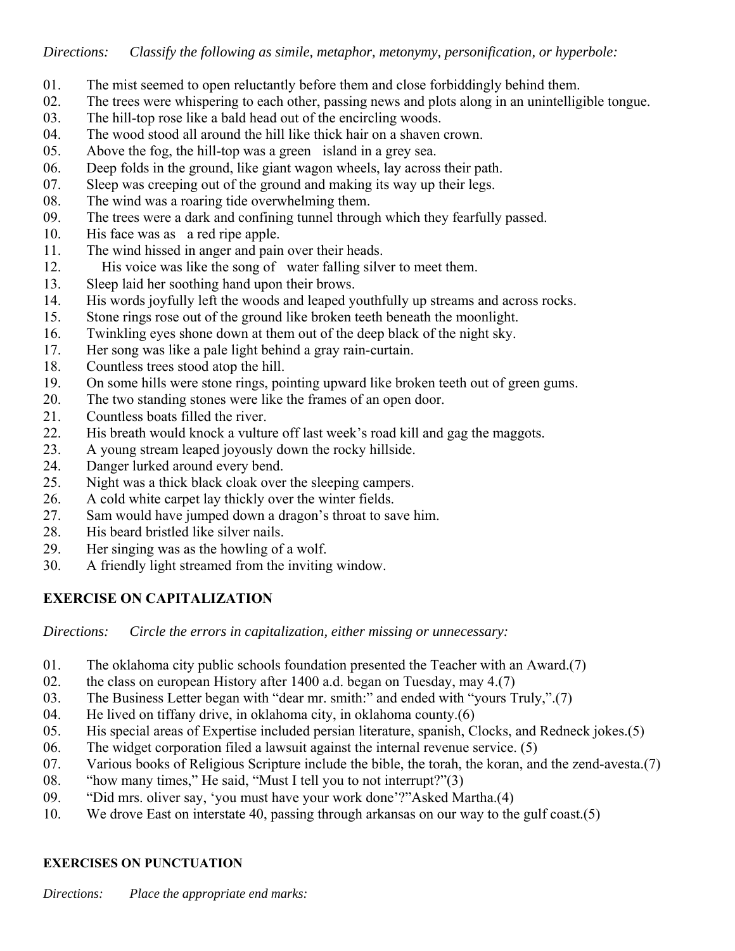- 01. The mist seemed to open reluctantly before them and close forbiddingly behind them.
- 02. The trees were whispering to each other, passing news and plots along in an unintelligible tongue.
- 03. The hill-top rose like a bald head out of the encircling woods.
- 04. The wood stood all around the hill like thick hair on a shaven crown.
- 05. Above the fog, the hill-top was a green island in a grey sea.
- 06. Deep folds in the ground, like giant wagon wheels, lay across their path.
- 07. Sleep was creeping out of the ground and making its way up their legs.
- 08. The wind was a roaring tide overwhelming them.
- 09. The trees were a dark and confining tunnel through which they fearfully passed.
- 10. His face was as a red ripe apple.
- 11. The wind hissed in anger and pain over their heads.
- 12. His voice was like the song of water falling silver to meet them.
- 13. Sleep laid her soothing hand upon their brows.
- 14. His words joyfully left the woods and leaped youthfully up streams and across rocks.
- 15. Stone rings rose out of the ground like broken teeth beneath the moonlight.
- 16. Twinkling eyes shone down at them out of the deep black of the night sky.
- 17. Her song was like a pale light behind a gray rain-curtain.
- 18. Countless trees stood atop the hill.
- 19. On some hills were stone rings, pointing upward like broken teeth out of green gums.
- 20. The two standing stones were like the frames of an open door.
- 21. Countless boats filled the river.
- 22. His breath would knock a vulture off last week's road kill and gag the maggots.
- 23. A young stream leaped joyously down the rocky hillside.
- 24. Danger lurked around every bend.
- 25. Night was a thick black cloak over the sleeping campers.
- 26. A cold white carpet lay thickly over the winter fields.
- 27. Sam would have jumped down a dragon's throat to save him.
- 28. His beard bristled like silver nails.
- 29. Her singing was as the howling of a wolf.
- 30. A friendly light streamed from the inviting window.

# **EXERCISE ON CAPITALIZATION**

*Directions: Circle the errors in capitalization, either missing or unnecessary:*

- 01. The oklahoma city public schools foundation presented the Teacher with an Award.(7)
- 02. the class on european History after 1400 a.d. began on Tuesday, may 4.(7)
- 03. The Business Letter began with "dear mr. smith:" and ended with "yours Truly,".(7)
- 04. He lived on tiffany drive, in oklahoma city, in oklahoma county.(6)
- 05. His special areas of Expertise included persian literature, spanish, Clocks, and Redneck jokes.(5)
- 06. The widget corporation filed a lawsuit against the internal revenue service. (5)
- 07. Various books of Religious Scripture include the bible, the torah, the koran, and the zend-avesta.(7)
- 08. "how many times," He said, "Must I tell you to not interrupt?"(3)
- 09. "Did mrs. oliver say, 'you must have your work done'?"Asked Martha.(4)
- 10. We drove East on interstate 40, passing through arkansas on our way to the gulf coast.(5)

# **EXERCISES ON PUNCTUATION**

*Directions: Place the appropriate end marks:*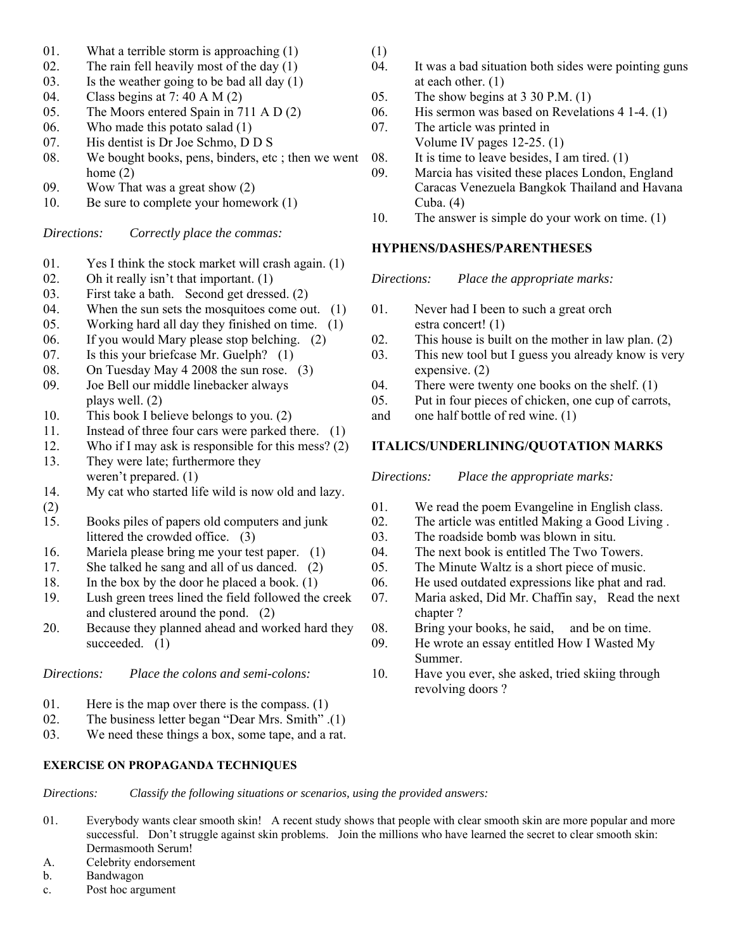- 01. What a terrible storm is approaching (1)
- 02. The rain fell heavily most of the day (1)
- 03. Is the weather going to be bad all day  $(1)$
- 04. Class begins at 7: 40 A M (2)
- 05. The Moors entered Spain in 711 A D (2)
- 06. Who made this potato salad (1)
- 07. His dentist is Dr Joe Schmo, D D S
- 08. We bought books, pens, binders, etc ; then we went home (2)
- 09. Wow That was a great show (2)
- 10. Be sure to complete your homework (1)

*Directions: Correctly place the commas:*

- 01. Yes I think the stock market will crash again. (1)
- 02. Oh it really isn't that important.  $(1)$ <br>03. First take a bath. Second get dresse
- First take a bath. Second get dressed. (2)
- 04. When the sun sets the mosquitoes come out. (1)
- 05. Working hard all day they finished on time. (1)
- 06. If you would Mary please stop belching. (2)
- 07. Is this your briefcase Mr. Guelph? (1)
- 08. On Tuesday May 4 2008 the sun rose. (3)
- 09. Joe Bell our middle linebacker always plays well. (2)
- 10. This book I believe belongs to you. (2)
- 11. Instead of three four cars were parked there. (1)
- 12. Who if I may ask is responsible for this mess? (2)
- 13. They were late; furthermore they weren't prepared. (1)
- 14. My cat who started life wild is now old and lazy.
- (2)
- 15. Books piles of papers old computers and junk littered the crowded office. (3)
- 16. Mariela please bring me your test paper. (1)
- 17. She talked he sang and all of us danced. (2)
- 18. In the box by the door he placed a book. (1)
- 19. Lush green trees lined the field followed the creek and clustered around the pond. (2)
- 20. Because they planned ahead and worked hard they succeeded. (1)

*Directions: Place the colons and semi-colons:*

- 01. Here is the map over there is the compass. (1)
- 02. The business letter began "Dear Mrs. Smith" .(1)
- 03. We need these things a box, some tape, and a rat.

### **EXERCISE ON PROPAGANDA TECHNIQUES**

- (1)
- 04. It was a bad situation both sides were pointing guns at each other. (1)
- 05. The show begins at 3 30 P.M. (1)
- 06. His sermon was based on Revelations 4 1-4. (1)
- 07. The article was printed in Volume IV pages 12-25. (1)
- 08. It is time to leave besides, I am tired. (1)
- 09. Marcia has visited these places London, England Caracas Venezuela Bangkok Thailand and Havana Cuba. (4)
- 10. The answer is simple do your work on time. (1)

### **HYPHENS/DASHES/PARENTHESES**

*Directions: Place the appropriate marks:*

- 01. Never had I been to such a great orch estra concert! (1)
- 02. This house is built on the mother in law plan. (2)
- 03. This new tool but I guess you already know is very expensive. (2)
- 04. There were twenty one books on the shelf. (1)
- 05. Put in four pieces of chicken, one cup of carrots,
- and one half bottle of red wine. (1)

### **ITALICS/UNDERLINING/QUOTATION MARKS**

*Directions: Place the appropriate marks:*

- 01. We read the poem Evangeline in English class.
- 02. The article was entitled Making a Good Living .
- 03. The roadside bomb was blown in situ.
- 04. The next book is entitled The Two Towers.
- 05. The Minute Waltz is a short piece of music.
- 06. He used outdated expressions like phat and rad.
- 07. Maria asked, Did Mr. Chaffin say, Read the next chapter ?
- 08. Bring your books, he said, and be on time.
- 09. He wrote an essay entitled How I Wasted My Summer.
- 10. Have you ever, she asked, tried skiing through revolving doors ?

01. Everybody wants clear smooth skin! A recent study shows that people with clear smooth skin are more popular and more successful. Don't struggle against skin problems. Join the millions who have learned the secret to clear smooth skin:

*Directions: Classify the following situations or scenarios, using the provided answers:*

- Dermasmooth Serum!
- A. Celebrity endorsement
- b. Bandwagon
- c. Post hoc argument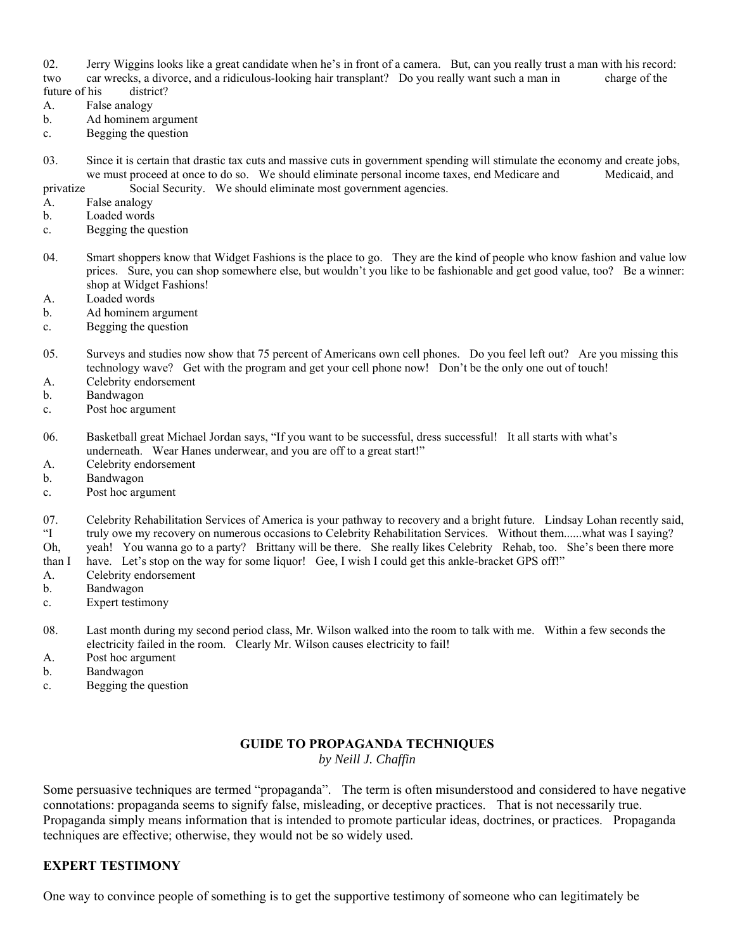02. Jerry Wiggins looks like a great candidate when he's in front of a camera. But, can you really trust a man with his record: two car wrecks, a divorce, and a ridiculous-looking hair transplant? Do you really want such a man in charge of the future of his district?

- A. False analogy
- b. Ad hominem argument
- c. Begging the question
- 03. Since it is certain that drastic tax cuts and massive cuts in government spending will stimulate the economy and create jobs, we must proceed at once to do so. We should eliminate personal income taxes, end Medicare and Medicaid, and privatize Social Security. We should eliminate most government agencies.
- A. False analogy
- b. Loaded words
- c. Begging the question
- 04. Smart shoppers know that Widget Fashions is the place to go. They are the kind of people who know fashion and value low prices. Sure, you can shop somewhere else, but wouldn't you like to be fashionable and get good value, too? Be a winner: shop at Widget Fashions!
- A. Loaded words
- b. Ad hominem argument
- c. Begging the question
- 05. Surveys and studies now show that 75 percent of Americans own cell phones. Do you feel left out? Are you missing this technology wave? Get with the program and get your cell phone now! Don't be the only one out of touch!
- A. Celebrity endorsement
- b. Bandwagon
- c. Post hoc argument
- 06. Basketball great Michael Jordan says, "If you want to be successful, dress successful! It all starts with what's underneath. Wear Hanes underwear, and you are off to a great start!"
- A. Celebrity endorsement
- b. Bandwagon
- c. Post hoc argument
- 07. Celebrity Rehabilitation Services of America is your pathway to recovery and a bright future. Lindsay Lohan recently said, "I truly owe my recovery on numerous occasions to Celebrity Rehabilitation Services. Without them......what was I saying?
- Oh, yeah! You wanna go to a party? Brittany will be there. She really likes Celebrity Rehab, too. She's been there more
- than I have. Let's stop on the way for some liquor! Gee, I wish I could get this ankle-bracket GPS off!"
- A. Celebrity endorsement
- b. Bandwagon
- c. Expert testimony
- 08. Last month during my second period class, Mr. Wilson walked into the room to talk with me. Within a few seconds the electricity failed in the room. Clearly Mr. Wilson causes electricity to fail!
- A. Post hoc argument
- b. Bandwagon
- c. Begging the question

# **GUIDE TO PROPAGANDA TECHNIQUES**

*by Neill J. Chaffin*

Some persuasive techniques are termed "propaganda". The term is often misunderstood and considered to have negative connotations: propaganda seems to signify false, misleading, or deceptive practices. That is not necessarily true. Propaganda simply means information that is intended to promote particular ideas, doctrines, or practices. Propaganda techniques are effective; otherwise, they would not be so widely used.

# **EXPERT TESTIMONY**

One way to convince people of something is to get the supportive testimony of someone who can legitimately be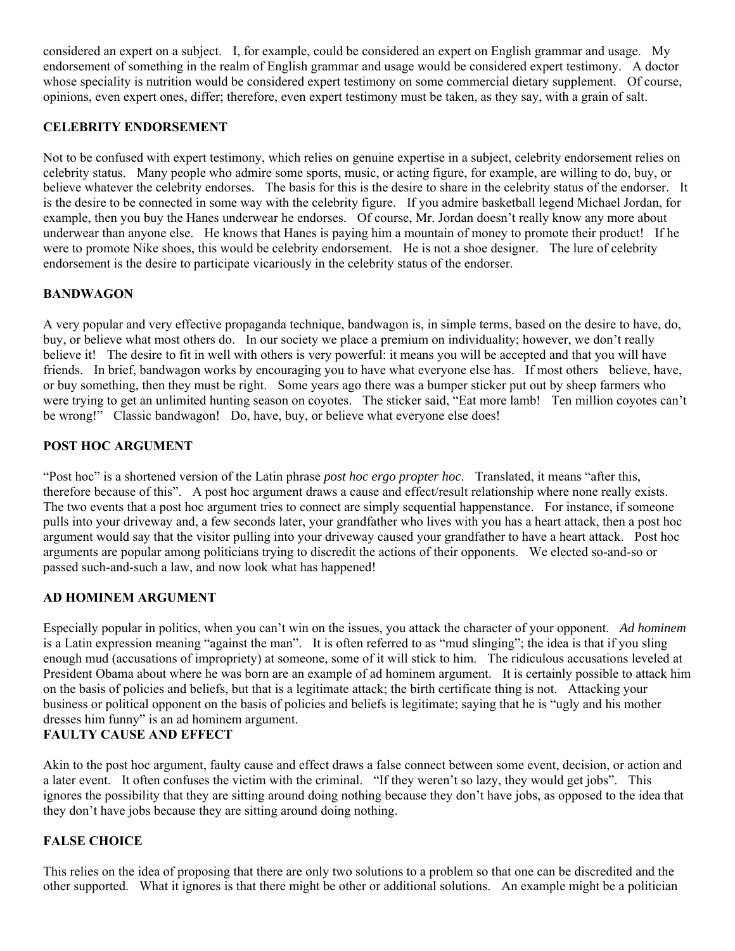considered an expert on a subject. I, for example, could be considered an expert on English grammar and usage. My endorsement of something in the realm of English grammar and usage would be considered expert testimony. A doctor whose speciality is nutrition would be considered expert testimony on some commercial dietary supplement. Of course, opinions, even expert ones, differ; therefore, even expert testimony must be taken, as they say, with a grain of salt.

### **CELEBRITY ENDORSEMENT**

Not to be confused with expert testimony, which relies on genuine expertise in a subject, celebrity endorsement relies on celebrity status. Many people who admire some sports, music, or acting figure, for example, are willing to do, buy, or believe whatever the celebrity endorses. The basis for this is the desire to share in the celebrity status of the endorser. It is the desire to be connected in some way with the celebrity figure. If you admire basketball legend Michael Jordan, for example, then you buy the Hanes underwear he endorses. Of course, Mr. Jordan doesn't really know any more about underwear than anyone else. He knows that Hanes is paying him a mountain of money to promote their product! If he were to promote Nike shoes, this would be celebrity endorsement. He is not a shoe designer. The lure of celebrity endorsement is the desire to participate vicariously in the celebrity status of the endorser.

### **BANDWAGON**

A very popular and very effective propaganda technique, bandwagon is, in simple terms, based on the desire to have, do, buy, or believe what most others do. In our society we place a premium on individuality; however, we don't really believe it! The desire to fit in well with others is very powerful: it means you will be accepted and that you will have friends. In brief, bandwagon works by encouraging you to have what everyone else has. If most others believe, have, or buy something, then they must be right. Some years ago there was a bumper sticker put out by sheep farmers who were trying to get an unlimited hunting season on coyotes. The sticker said, "Eat more lamb! Ten million coyotes can't be wrong!" Classic bandwagon! Do, have, buy, or believe what everyone else does!

### **POST HOC ARGUMENT**

"Post hoc" is a shortened version of the Latin phrase *post hoc ergo propter hoc*. Translated, it means "after this, therefore because of this". A post hoc argument draws a cause and effect/result relationship where none really exists. The two events that a post hoc argument tries to connect are simply sequential happenstance. For instance, if someone pulls into your driveway and, a few seconds later, your grandfather who lives with you has a heart attack, then a post hoc argument would say that the visitor pulling into your driveway caused your grandfather to have a heart attack. Post hoc arguments are popular among politicians trying to discredit the actions of their opponents. We elected so-and-so or passed such-and-such a law, and now look what has happened!

### **AD HOMINEM ARGUMENT**

Especially popular in politics, when you can't win on the issues, you attack the character of your opponent. *Ad hominem* is a Latin expression meaning "against the man". It is often referred to as "mud slinging"; the idea is that if you sling enough mud (accusations of impropriety) at someone, some of it will stick to him. The ridiculous accusations leveled at President Obama about where he was born are an example of ad hominem argument. It is certainly possible to attack him on the basis of policies and beliefs, but that is a legitimate attack; the birth certificate thing is not. Attacking your business or political opponent on the basis of policies and beliefs is legitimate; saying that he is "ugly and his mother dresses him funny" is an ad hominem argument.

## **FAULTY CAUSE AND EFFECT**

Akin to the post hoc argument, faulty cause and effect draws a false connect between some event, decision, or action and a later event. It often confuses the victim with the criminal. "If they weren't so lazy, they would get jobs". This ignores the possibility that they are sitting around doing nothing because they don't have jobs, as opposed to the idea that they don't have jobs because they are sitting around doing nothing.

### **FALSE CHOICE**

This relies on the idea of proposing that there are only two solutions to a problem so that one can be discredited and the other supported. What it ignores is that there might be other or additional solutions. An example might be a politician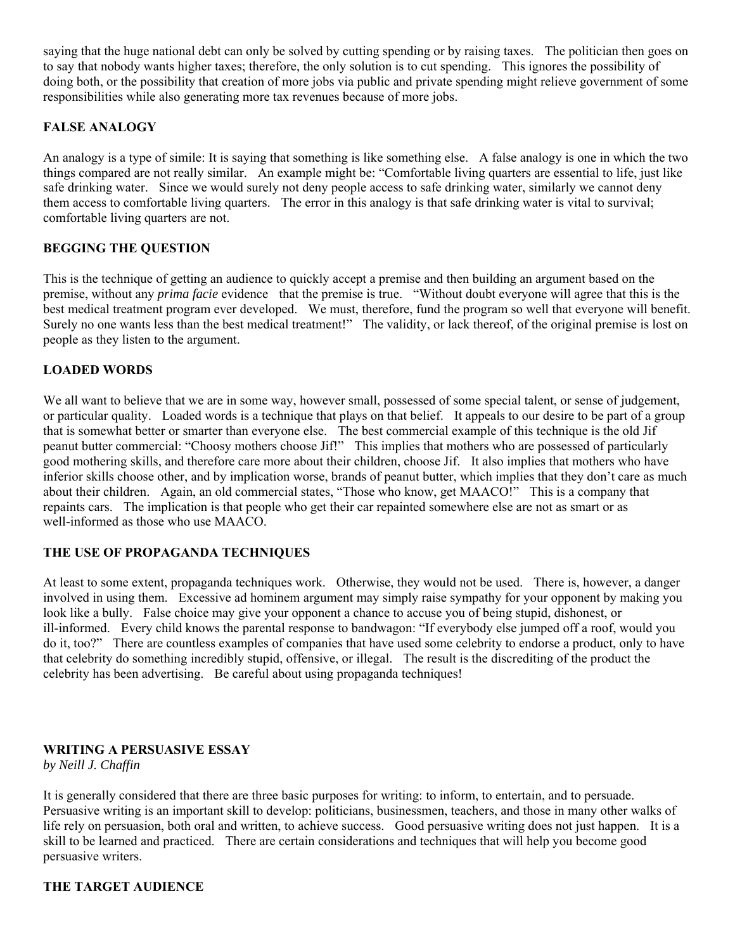saying that the huge national debt can only be solved by cutting spending or by raising taxes. The politician then goes on to say that nobody wants higher taxes; therefore, the only solution is to cut spending. This ignores the possibility of doing both, or the possibility that creation of more jobs via public and private spending might relieve government of some responsibilities while also generating more tax revenues because of more jobs.

### **FALSE ANALOGY**

An analogy is a type of simile: It is saying that something is like something else. A false analogy is one in which the two things compared are not really similar. An example might be: "Comfortable living quarters are essential to life, just like safe drinking water. Since we would surely not deny people access to safe drinking water, similarly we cannot deny them access to comfortable living quarters. The error in this analogy is that safe drinking water is vital to survival; comfortable living quarters are not.

### **BEGGING THE QUESTION**

This is the technique of getting an audience to quickly accept a premise and then building an argument based on the premise, without any *prima facie* evidence that the premise is true. "Without doubt everyone will agree that this is the best medical treatment program ever developed. We must, therefore, fund the program so well that everyone will benefit. Surely no one wants less than the best medical treatment!" The validity, or lack thereof, of the original premise is lost on people as they listen to the argument.

### **LOADED WORDS**

We all want to believe that we are in some way, however small, possessed of some special talent, or sense of judgement, or particular quality. Loaded words is a technique that plays on that belief. It appeals to our desire to be part of a group that is somewhat better or smarter than everyone else. The best commercial example of this technique is the old Jif peanut butter commercial: "Choosy mothers choose Jif!" This implies that mothers who are possessed of particularly good mothering skills, and therefore care more about their children, choose Jif. It also implies that mothers who have inferior skills choose other, and by implication worse, brands of peanut butter, which implies that they don't care as much about their children. Again, an old commercial states, "Those who know, get MAACO!" This is a company that repaints cars. The implication is that people who get their car repainted somewhere else are not as smart or as well-informed as those who use MAACO.

### **THE USE OF PROPAGANDA TECHNIQUES**

At least to some extent, propaganda techniques work. Otherwise, they would not be used. There is, however, a danger involved in using them. Excessive ad hominem argument may simply raise sympathy for your opponent by making you look like a bully. False choice may give your opponent a chance to accuse you of being stupid, dishonest, or ill-informed. Every child knows the parental response to bandwagon: "If everybody else jumped off a roof, would you do it, too?" There are countless examples of companies that have used some celebrity to endorse a product, only to have that celebrity do something incredibly stupid, offensive, or illegal. The result is the discrediting of the product the celebrity has been advertising. Be careful about using propaganda techniques!

### **WRITING A PERSUASIVE ESSAY**

*by Neill J. Chaffin* 

It is generally considered that there are three basic purposes for writing: to inform, to entertain, and to persuade. Persuasive writing is an important skill to develop: politicians, businessmen, teachers, and those in many other walks of life rely on persuasion, both oral and written, to achieve success. Good persuasive writing does not just happen. It is a skill to be learned and practiced. There are certain considerations and techniques that will help you become good persuasive writers.

### **THE TARGET AUDIENCE**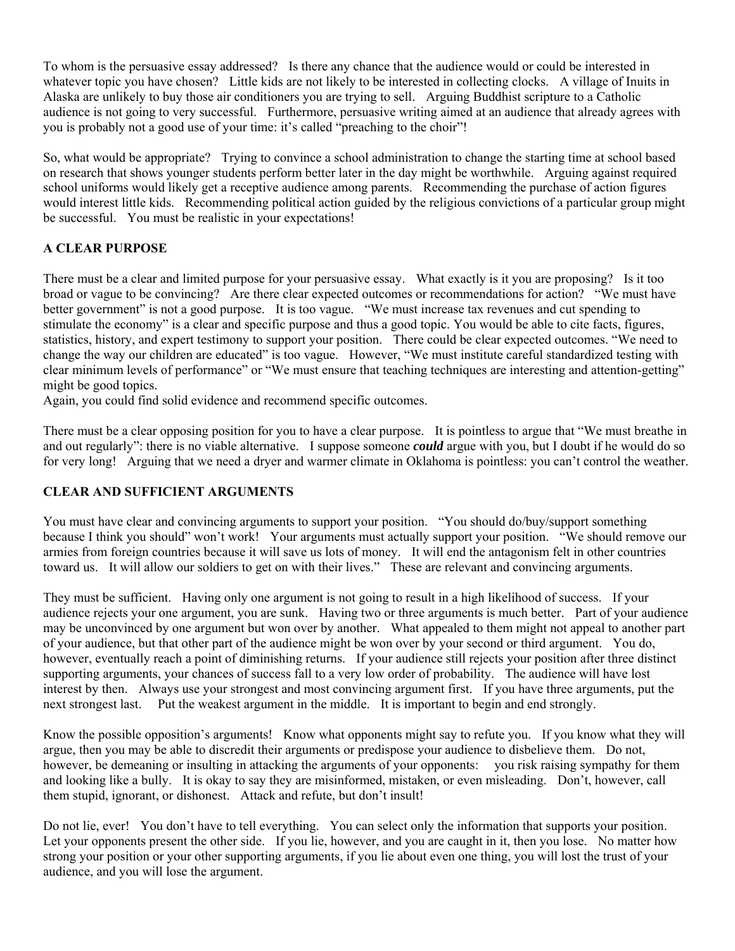To whom is the persuasive essay addressed? Is there any chance that the audience would or could be interested in whatever topic you have chosen? Little kids are not likely to be interested in collecting clocks. A village of Inuits in Alaska are unlikely to buy those air conditioners you are trying to sell. Arguing Buddhist scripture to a Catholic audience is not going to very successful. Furthermore, persuasive writing aimed at an audience that already agrees with you is probably not a good use of your time: it's called "preaching to the choir"!

So, what would be appropriate? Trying to convince a school administration to change the starting time at school based on research that shows younger students perform better later in the day might be worthwhile. Arguing against required school uniforms would likely get a receptive audience among parents. Recommending the purchase of action figures would interest little kids. Recommending political action guided by the religious convictions of a particular group might be successful. You must be realistic in your expectations!

## **A CLEAR PURPOSE**

There must be a clear and limited purpose for your persuasive essay. What exactly is it you are proposing? Is it too broad or vague to be convincing? Are there clear expected outcomes or recommendations for action? "We must have better government" is not a good purpose. It is too vague. "We must increase tax revenues and cut spending to stimulate the economy" is a clear and specific purpose and thus a good topic. You would be able to cite facts, figures, statistics, history, and expert testimony to support your position. There could be clear expected outcomes. "We need to change the way our children are educated" is too vague. However, "We must institute careful standardized testing with clear minimum levels of performance" or "We must ensure that teaching techniques are interesting and attention-getting" might be good topics.

Again, you could find solid evidence and recommend specific outcomes.

There must be a clear opposing position for you to have a clear purpose. It is pointless to argue that "We must breathe in and out regularly": there is no viable alternative. I suppose someone *could* argue with you, but I doubt if he would do so for very long! Arguing that we need a dryer and warmer climate in Oklahoma is pointless: you can't control the weather.

### **CLEAR AND SUFFICIENT ARGUMENTS**

You must have clear and convincing arguments to support your position. "You should do/buy/support something because I think you should" won't work! Your arguments must actually support your position. "We should remove our armies from foreign countries because it will save us lots of money. It will end the antagonism felt in other countries toward us. It will allow our soldiers to get on with their lives." These are relevant and convincing arguments.

They must be sufficient. Having only one argument is not going to result in a high likelihood of success. If your audience rejects your one argument, you are sunk. Having two or three arguments is much better. Part of your audience may be unconvinced by one argument but won over by another. What appealed to them might not appeal to another part of your audience, but that other part of the audience might be won over by your second or third argument. You do, however, eventually reach a point of diminishing returns. If your audience still rejects your position after three distinct supporting arguments, your chances of success fall to a very low order of probability. The audience will have lost interest by then. Always use your strongest and most convincing argument first. If you have three arguments, put the next strongest last. Put the weakest argument in the middle. It is important to begin and end strongly.

Know the possible opposition's arguments! Know what opponents might say to refute you. If you know what they will argue, then you may be able to discredit their arguments or predispose your audience to disbelieve them. Do not, however, be demeaning or insulting in attacking the arguments of your opponents: you risk raising sympathy for them and looking like a bully. It is okay to say they are misinformed, mistaken, or even misleading. Don't, however, call them stupid, ignorant, or dishonest. Attack and refute, but don't insult!

Do not lie, ever! You don't have to tell everything. You can select only the information that supports your position. Let your opponents present the other side. If you lie, however, and you are caught in it, then you lose. No matter how strong your position or your other supporting arguments, if you lie about even one thing, you will lost the trust of your audience, and you will lose the argument.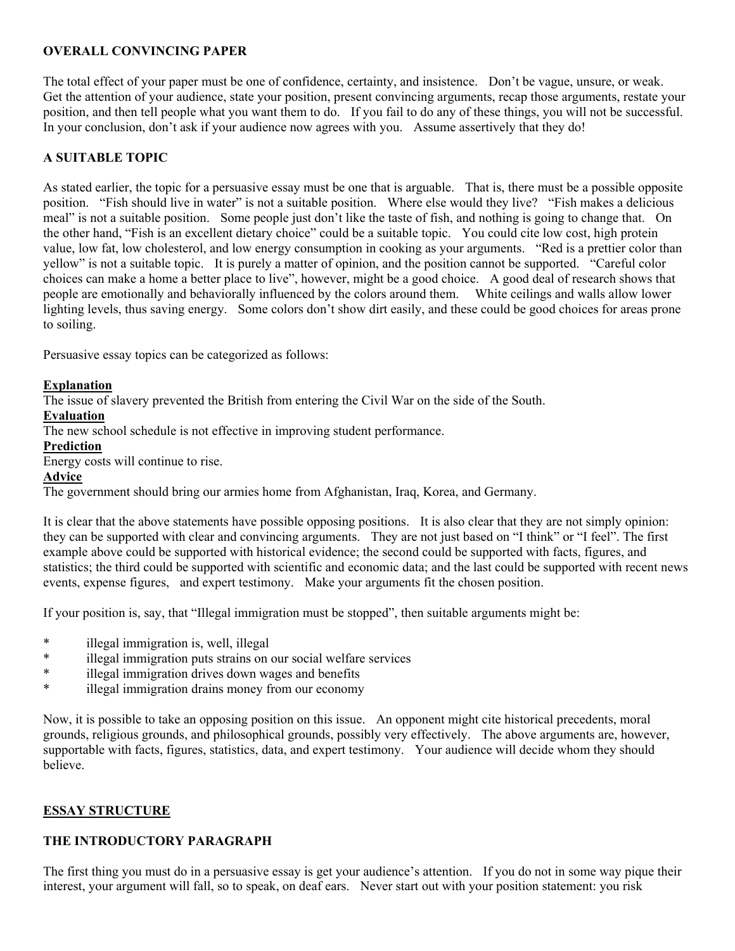### **OVERALL CONVINCING PAPER**

The total effect of your paper must be one of confidence, certainty, and insistence. Don't be vague, unsure, or weak. Get the attention of your audience, state your position, present convincing arguments, recap those arguments, restate your position, and then tell people what you want them to do. If you fail to do any of these things, you will not be successful. In your conclusion, don't ask if your audience now agrees with you. Assume assertively that they do!

### **A SUITABLE TOPIC**

As stated earlier, the topic for a persuasive essay must be one that is arguable. That is, there must be a possible opposite position. "Fish should live in water" is not a suitable position. Where else would they live? "Fish makes a delicious meal" is not a suitable position. Some people just don't like the taste of fish, and nothing is going to change that. On the other hand, "Fish is an excellent dietary choice" could be a suitable topic. You could cite low cost, high protein value, low fat, low cholesterol, and low energy consumption in cooking as your arguments. "Red is a prettier color than yellow" is not a suitable topic. It is purely a matter of opinion, and the position cannot be supported. "Careful color choices can make a home a better place to live", however, might be a good choice. A good deal of research shows that people are emotionally and behaviorally influenced by the colors around them. White ceilings and walls allow lower lighting levels, thus saving energy. Some colors don't show dirt easily, and these could be good choices for areas prone to soiling.

Persuasive essay topics can be categorized as follows:

### **Explanation**

The issue of slavery prevented the British from entering the Civil War on the side of the South.

#### **Evaluation**

The new school schedule is not effective in improving student performance.

#### **Prediction**

Energy costs will continue to rise.

#### **Advice**

The government should bring our armies home from Afghanistan, Iraq, Korea, and Germany.

It is clear that the above statements have possible opposing positions. It is also clear that they are not simply opinion: they can be supported with clear and convincing arguments. They are not just based on "I think" or "I feel". The first example above could be supported with historical evidence; the second could be supported with facts, figures, and statistics; the third could be supported with scientific and economic data; and the last could be supported with recent news events, expense figures, and expert testimony. Make your arguments fit the chosen position.

If your position is, say, that "Illegal immigration must be stopped", then suitable arguments might be:

- \* illegal immigration is, well, illegal
- \* illegal immigration puts strains on our social welfare services<br>\* illegal immigration drives down wegge and banefits
- illegal immigration drives down wages and benefits
- \* illegal immigration drains money from our economy

Now, it is possible to take an opposing position on this issue. An opponent might cite historical precedents, moral grounds, religious grounds, and philosophical grounds, possibly very effectively. The above arguments are, however, supportable with facts, figures, statistics, data, and expert testimony. Your audience will decide whom they should believe.

### **ESSAY STRUCTURE**

### **THE INTRODUCTORY PARAGRAPH**

The first thing you must do in a persuasive essay is get your audience's attention. If you do not in some way pique their interest, your argument will fall, so to speak, on deaf ears. Never start out with your position statement: you risk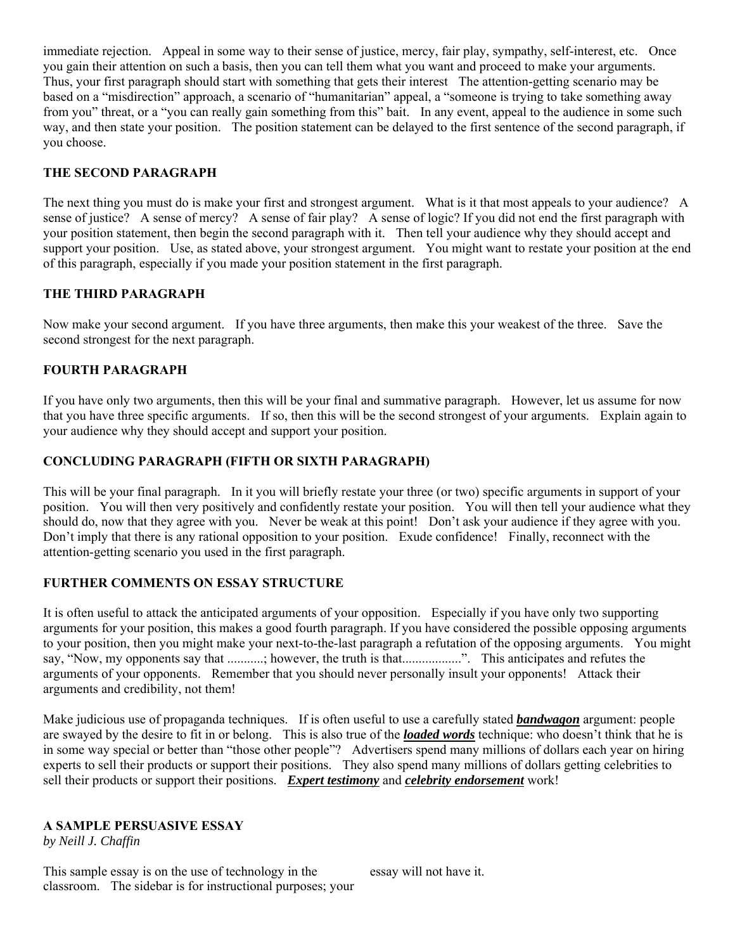immediate rejection. Appeal in some way to their sense of justice, mercy, fair play, sympathy, self-interest, etc. Once you gain their attention on such a basis, then you can tell them what you want and proceed to make your arguments. Thus, your first paragraph should start with something that gets their interest The attention-getting scenario may be based on a "misdirection" approach, a scenario of "humanitarian" appeal, a "someone is trying to take something away from you" threat, or a "you can really gain something from this" bait. In any event, appeal to the audience in some such way, and then state your position. The position statement can be delayed to the first sentence of the second paragraph, if you choose.

### **THE SECOND PARAGRAPH**

The next thing you must do is make your first and strongest argument. What is it that most appeals to your audience? A sense of justice? A sense of mercy? A sense of fair play? A sense of logic? If you did not end the first paragraph with your position statement, then begin the second paragraph with it. Then tell your audience why they should accept and support your position. Use, as stated above, your strongest argument. You might want to restate your position at the end of this paragraph, especially if you made your position statement in the first paragraph.

### **THE THIRD PARAGRAPH**

Now make your second argument. If you have three arguments, then make this your weakest of the three. Save the second strongest for the next paragraph.

### **FOURTH PARAGRAPH**

If you have only two arguments, then this will be your final and summative paragraph. However, let us assume for now that you have three specific arguments. If so, then this will be the second strongest of your arguments. Explain again to your audience why they should accept and support your position.

### **CONCLUDING PARAGRAPH (FIFTH OR SIXTH PARAGRAPH)**

This will be your final paragraph. In it you will briefly restate your three (or two) specific arguments in support of your position. You will then very positively and confidently restate your position. You will then tell your audience what they should do, now that they agree with you. Never be weak at this point! Don't ask your audience if they agree with you. Don't imply that there is any rational opposition to your position. Exude confidence! Finally, reconnect with the attention-getting scenario you used in the first paragraph.

### **FURTHER COMMENTS ON ESSAY STRUCTURE**

It is often useful to attack the anticipated arguments of your opposition. Especially if you have only two supporting arguments for your position, this makes a good fourth paragraph. If you have considered the possible opposing arguments to your position, then you might make your next-to-the-last paragraph a refutation of the opposing arguments. You might say, "Now, my opponents say that ...........; however, the truth is that..................". This anticipates and refutes the arguments of your opponents. Remember that you should never personally insult your opponents! Attack their arguments and credibility, not them!

Make judicious use of propaganda techniques. If is often useful to use a carefully stated *bandwagon* argument: people are swayed by the desire to fit in or belong. This is also true of the *loaded words* technique: who doesn't think that he is in some way special or better than "those other people"? Advertisers spend many millions of dollars each year on hiring experts to sell their products or support their positions. They also spend many millions of dollars getting celebrities to sell their products or support their positions. *Expert testimony* and *celebrity endorsement* work!

### **A SAMPLE PERSUASIVE ESSAY**

*by Neill J. Chaffin*

This sample essay is on the use of technology in the classroom. The sidebar is for instructional purposes; your essay will not have it.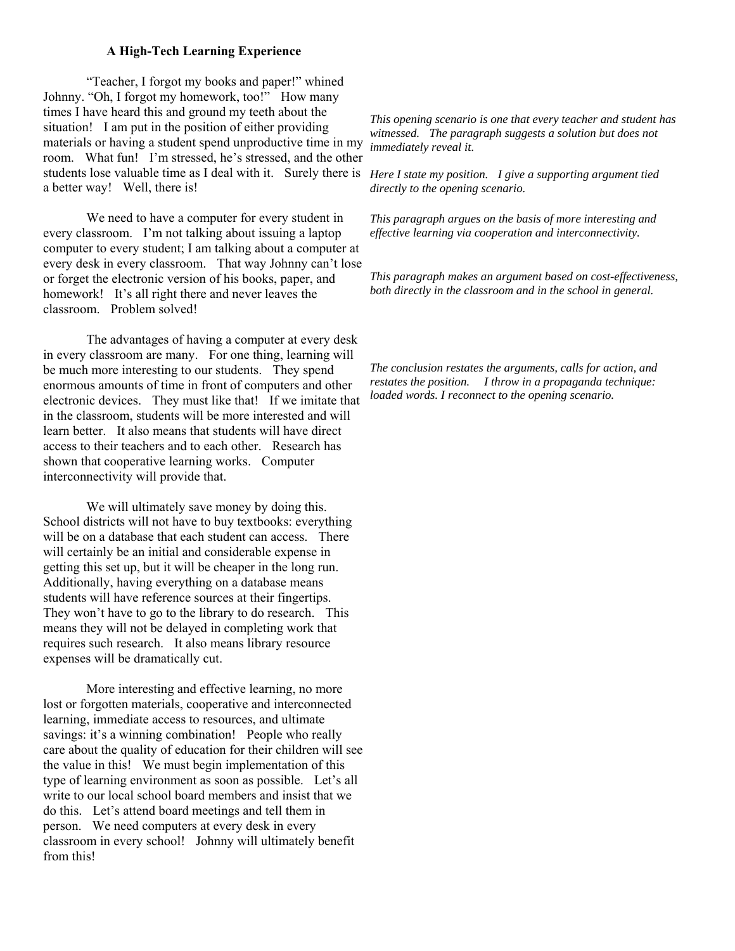#### **A High-Tech Learning Experience**

 "Teacher, I forgot my books and paper!" whined Johnny. "Oh, I forgot my homework, too!" How many times I have heard this and ground my teeth about the situation! I am put in the position of either providing materials or having a student spend unproductive time in my room. What fun! I'm stressed, he's stressed, and the other students lose valuable time as I deal with it. Surely there is *Here I state my position. I give a supporting argument tied*  a better way! Well, there is!

 We need to have a computer for every student in every classroom. I'm not talking about issuing a laptop computer to every student; I am talking about a computer at every desk in every classroom. That way Johnny can't lose or forget the electronic version of his books, paper, and homework! It's all right there and never leaves the classroom. Problem solved!

 The advantages of having a computer at every desk in every classroom are many. For one thing, learning will be much more interesting to our students. They spend enormous amounts of time in front of computers and other electronic devices. They must like that! If we imitate that in the classroom, students will be more interested and will learn better. It also means that students will have direct access to their teachers and to each other. Research has shown that cooperative learning works. Computer interconnectivity will provide that.

We will ultimately save money by doing this. School districts will not have to buy textbooks: everything will be on a database that each student can access. There will certainly be an initial and considerable expense in getting this set up, but it will be cheaper in the long run. Additionally, having everything on a database means students will have reference sources at their fingertips. They won't have to go to the library to do research. This means they will not be delayed in completing work that requires such research. It also means library resource expenses will be dramatically cut.

 More interesting and effective learning, no more lost or forgotten materials, cooperative and interconnected learning, immediate access to resources, and ultimate savings: it's a winning combination! People who really care about the quality of education for their children will see the value in this! We must begin implementation of this type of learning environment as soon as possible. Let's all write to our local school board members and insist that we do this. Let's attend board meetings and tell them in person. We need computers at every desk in every classroom in every school! Johnny will ultimately benefit from this!

*This opening scenario is one that every teacher and student has witnessed. The paragraph suggests a solution but does not immediately reveal it.*

*directly to the opening scenario.*

*This paragraph argues on the basis of more interesting and effective learning via cooperation and interconnectivity.*

*This paragraph makes an argument based on cost-effectiveness, both directly in the classroom and in the school in general.* 

*The conclusion restates the arguments, calls for action, and restates the position. I throw in a propaganda technique: loaded words. I reconnect to the opening scenario.*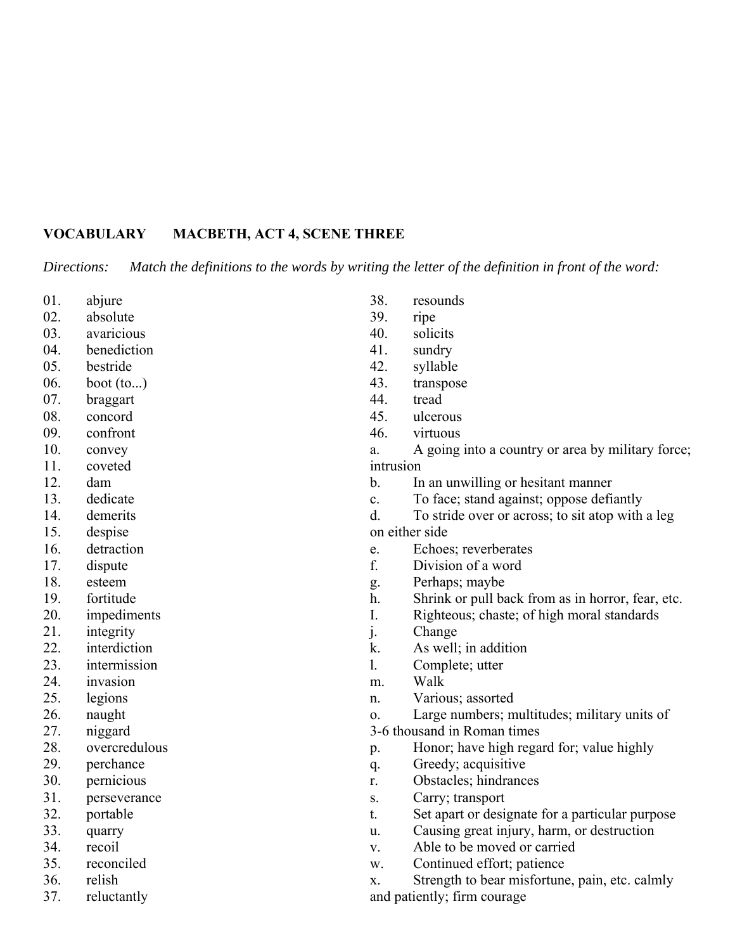## **VOCABULARY MACBETH, ACT 4, SCENE THREE**

*Directions: Match the definitions to the words by writing the letter of the definition in front of the word:*

- 01. abjure
- 02. absolute
- 03. avaricious
- 04. benediction
- 05. bestride
- 06. boot (to...)
- 07. braggart
- 08. concord
- 09. confront
- 10. convey
- 11. coveted
- 12. dam
- 13. dedicate
- 14. demerits
- 15. despise
- 16. detraction
- 17. dispute
- 18. esteem
- 19. fortitude
- 20. impediments
- 21. integrity
- 22. interdiction
- 23. intermission
- 24. invasion
- 25. legions
- 26. naught
- 27. niggard
- 28. overcredulous
- 29. perchance
- 30. pernicious
- 31. perseverance
- 32. portable
- 33. quarry
- 34. recoil
- 35. reconciled
- 36. relish
- 37. reluctantly
- 38. resounds
- 39. ripe
- 40. solicits
- 41. sundry
- 42. syllable
- 43. transpose
- 44. tread
- 45. ulcerous
- 46. virtuous
- a. A going into a country or area by military force; intrusion
- b. In an unwilling or hesitant manner
- c. To face; stand against; oppose defiantly
- d. To stride over or across; to sit atop with a leg on either side
- e. Echoes; reverberates
- f. Division of a word
- g. Perhaps; maybe
- h. Shrink or pull back from as in horror, fear, etc.
- I. Righteous; chaste; of high moral standards
- j. Change
- k. As well; in addition
- l. Complete; utter
- m. Walk
- n. Various; assorted
- o. Large numbers; multitudes; military units of

### 3-6 thousand in Roman times

- p. Honor; have high regard for; value highly
- q. Greedy; acquisitive
- r. Obstacles; hindrances
- s. Carry; transport
- t. Set apart or designate for a particular purpose
- u. Causing great injury, harm, or destruction
- v. Able to be moved or carried
- w. Continued effort; patience

x. Strength to bear misfortune, pain, etc. calmly and patiently; firm courage